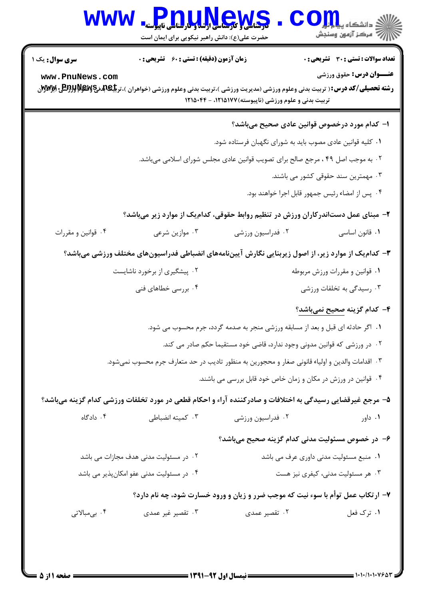| <b>WWW</b>             | <b>Pnullews</b><br>حضرت علی(ع): دانش راهبر نیکویی برای ایمان است                               |                                                       |                                                                                                                                                                                                                                                                              |
|------------------------|------------------------------------------------------------------------------------------------|-------------------------------------------------------|------------------------------------------------------------------------------------------------------------------------------------------------------------------------------------------------------------------------------------------------------------------------------|
| <b>سری سوال :</b> یک ۱ | <b>زمان آزمون (دقیقه) : تستی : 60 گشریحی : 0</b>                                               |                                                       | <b>تعداد سوالات : تستی : 30 ٪ تشریحی : 0</b>                                                                                                                                                                                                                                 |
| www.PnuNews.com        |                                                                                                | تربیت بدنی و علوم ورزشی (ناپیوسته) ۱۲۱۵۱۷۷، - ۱۲۱۵۰۴۴ | <b>عنــوان درس:</b> حقوق ورزشي<br><b>رشته تحصیلی/کد درس:</b> ( تربیت بدنی وعلوم ورزشی (مدیریت ورزشی )،تربیت بدنی وعلوم ورزشی (خواهران )،تر <b>بلِگِ[لِدِم لِگَلْلِدِ (Wyy) بِلِ</b> لَالِمِلِلِدِمِلِلِمِلِلِمِلْلِلِمِلِلِمِلِلِمِلِلِمِلِلِمِلِلِمِلِلِمِلِلِمِلِلِمِلِلِم |
|                        |                                                                                                |                                                       | ۱– کدام مورد درخصوص قوانین عادی صحیح میباشد؟                                                                                                                                                                                                                                 |
|                        |                                                                                                |                                                       | ۰۱ کلیه قوانین عادی مصوب باید به شورای نگهبان فرستاده شود.                                                                                                                                                                                                                   |
|                        |                                                                                                |                                                       | ۲. به موجب اصل ۴۹ ، مرجع صالح برای تصویب قوانین عادی مجلس شورای اسلامی میباشد.                                                                                                                                                                                               |
|                        |                                                                                                |                                                       | ۰۳ مهمترین سند حقوقی کشور می باشند.                                                                                                                                                                                                                                          |
|                        |                                                                                                |                                                       | ۰۴ پس از امضاء رئیس جمهور قابل اجرا خواهند بود.                                                                                                                                                                                                                              |
|                        |                                                                                                |                                                       | ۲– مبنای عمل دستاندرکاران ورزش در تنظیم روابط حقوقی، کدامیک از موارد زیر میباشد؟                                                                                                                                                                                             |
| ۰۴ قوانین و مقررات     | ۰۳ موازین شرعی                                                                                 | ۰۲ فدراسیون ورزشی                                     | ۰۱ قانون اساسی                                                                                                                                                                                                                                                               |
|                        |                                                                                                |                                                       | ۳– کدام یک از موارد زیر، از اصول زیربنایی نگارش آییننامههای انضباطی فدراسیونهای مختلف ورزشی میباشد؟                                                                                                                                                                          |
|                        | ۰۲ پیشگیری از برخورد ناشایست                                                                   |                                                       | ۰۱ قوانین و مقررات ورزش مربوطه                                                                                                                                                                                                                                               |
|                        | ۰۴ بررسی خطاهای فنی                                                                            |                                                       | ۰۳ رسیدگی به تخلفات ورزشی                                                                                                                                                                                                                                                    |
|                        |                                                                                                |                                                       | ۴– کدام گزینه <u>صحیح</u> نم <u>یباشد</u> ؟                                                                                                                                                                                                                                  |
|                        |                                                                                                |                                                       | ۰۱ اگر حادثه ای قبل و بعد از مسابقه ورزشی منجر به صدمه گردد، جرم محسوب می شود.                                                                                                                                                                                               |
|                        |                                                                                                |                                                       | ۰۲ در ورزشی که قوانین مدونی وجود ندارد، قاضی خود مستقیما حکم صادر می کند.                                                                                                                                                                                                    |
|                        | ۰۳ اقدامات والدین و اولیاء قانونی صغار و محجورین به منظور تادیب در حد متعارف جرم محسوب نمیشود. |                                                       |                                                                                                                                                                                                                                                                              |
|                        |                                                                                                |                                                       | ۰۴ قوانین در ورزش در مکان و زمان خاص خود قابل بررسی می باشند.                                                                                                                                                                                                                |
|                        |                                                                                                |                                                       | ۵– مرجع غیرقضایی رسیدگی به اختلافات و صادرکننده آراء و احکام قطعی در مورد تخلفات ورزشی کدام گزینه میباشد؟                                                                                                                                                                    |
| ۰۴ دادگاه              | ۰۳ کمیته انضباطی                                                                               | ۰۲ فدراسیون ورزشی                                     | ۰۱ داور                                                                                                                                                                                                                                                                      |
|                        |                                                                                                |                                                       | ۶– در خصوص مسئولیت مدنی کدام گزینه صحیح میباشد؟                                                                                                                                                                                                                              |

| ۰۲ در مسئولیت مدنی هدف مجازات می باشد    | ۰۱ منبع مسئولیت مدنی داوری عرف می باشد |
|------------------------------------------|----------------------------------------|
| ۰۴ در مسئولیت مدنی عفو امکانپذیر می باشد | ۰۳ هر مسئولیت مدنی، کیفری نیز هست      |

۷- ارتکاب عمل توأم با سوء نیت که موجب ضرر و زیان و ورود خسارت شود، چه نام دارد؟

| ۰۴ بىمبالاتى | ۰ <sup>۳</sup> تقصیر غیر عمدی | ۰۲ تقصیر عمدی | ۰۱ ترک فعل |
|--------------|-------------------------------|---------------|------------|
|              |                               |               |            |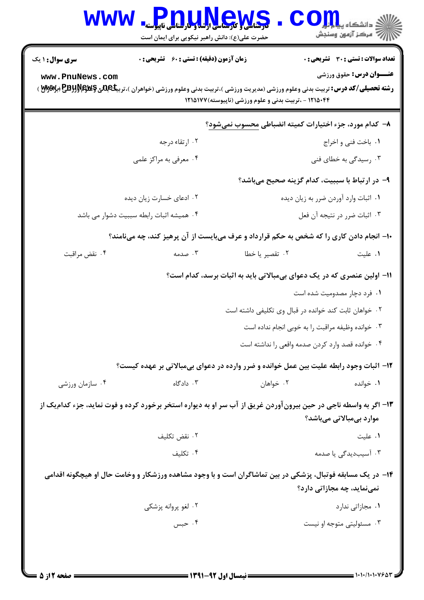| <b>WWW</b>                                                                                                                                 | PnuudevS<br>حضرت علی(ع): دانش راهبر نیکویی برای ایمان است                                                                                                                                 |                                                                        | د دانشگاه پ <b>یا ب<sup>ا</sup> با<mark>ر</mark></b><br>رآب مرڪز آزمون وسنڊش   |
|--------------------------------------------------------------------------------------------------------------------------------------------|-------------------------------------------------------------------------------------------------------------------------------------------------------------------------------------------|------------------------------------------------------------------------|--------------------------------------------------------------------------------|
| <b>سری سوال : ۱ یک</b><br>www.PnuNews.com                                                                                                  | <b>زمان آزمون (دقیقه) : تستی : 60 ٪ تشریحی : 0</b><br><b>رشته تحصیلی/کد درس:</b> تربیت بدنی وعلوم ورزشی (مدیریت ورزشی )،تربیت بدنی وعلوم ورزشی (خواهران )،تربیکجللیج کللاکلاللالیج (پیلای | ۱۲۱۵۰۴۴ - ،تربیت بدنی و علوم ورزشی (ناپیوسته) ۱۲۱۵۱۷۷                  | <b>تعداد سوالات : تستی : 30 ٪ تشریحی : 0</b><br><b>عنــوان درس:</b> حقوق ورزشي |
|                                                                                                                                            |                                                                                                                                                                                           | ۸– کدام مورد، جزء اختیارات کمیته انضباطی محسوب نمیشود؟                 |                                                                                |
|                                                                                                                                            | ۰۲ ارتقاء درجه                                                                                                                                                                            |                                                                        | ٠١. باخت فني و اخراج                                                           |
|                                                                                                                                            | ۰۴ معرفی به مراکز علمی                                                                                                                                                                    |                                                                        | ۰۳ رسیدگی به خطای فنی                                                          |
|                                                                                                                                            |                                                                                                                                                                                           | ۹– در ارتباط با سببیت، کدام گزینه صحیح میباشد؟                         |                                                                                |
|                                                                                                                                            | ۰۲ ادعای خسارت زیان دیده                                                                                                                                                                  |                                                                        | ٠١ اثبات وارد آوردن ضرر به زيان ديده                                           |
|                                                                                                                                            | ۰۴ همیشه اثبات رابطه سببیت دشوار می باشد                                                                                                                                                  |                                                                        | ۰۳ اثبات ضرر در نتيجه أن فعل                                                   |
|                                                                                                                                            | ۱۰- انجام دادن کاری را که شخص به حکم قرارداد و عرف میبایست از آن پرهیز کند، چه مینامند؟                                                                                                   |                                                                        |                                                                                |
| ۰۴ نقض مراقبت                                                                                                                              | ۰۳ صدمه                                                                                                                                                                                   | ۰۲ تقصیر یا خطا                                                        | ۰۱ علیت                                                                        |
|                                                                                                                                            |                                                                                                                                                                                           | 1۱– اولین عنصری که در یک دعوای بیمبالاتی باید به اثبات برسد، کدام است؟ |                                                                                |
|                                                                                                                                            |                                                                                                                                                                                           |                                                                        | ۰۱ فرد دچار مصدومیت شده است                                                    |
|                                                                                                                                            |                                                                                                                                                                                           | ۰۲ خواهان ثابت کند خوانده در قبال وی تکلیفی داشته است                  |                                                                                |
|                                                                                                                                            |                                                                                                                                                                                           | ٠٣ خوانده وظيفه مراقبت را به خوبي انجام نداده است                      |                                                                                |
|                                                                                                                                            |                                                                                                                                                                                           | ۰۴ خوانده قصد وارد كردن صدمه واقعى را نداشته است                       |                                                                                |
|                                                                                                                                            | ۱۲- اثبات وجود رابطه علیت بین عمل خوانده و ضرر وارده در دعوای بیمبالاتی بر عهده کیست؟                                                                                                     |                                                                        |                                                                                |
| ۰۴ سازمان ورزشي                                                                                                                            | ۰۳ دادگاه                                                                                                                                                                                 | ۰۲ خواهان                                                              | ۰۱ خوانده                                                                      |
| ۱۳- اگر به واسطه ناجی در حین بیرونآوردن غریق از آب سر او به دیواره استخر برخورد کرده و فوت نماید، جزء کدامیک از<br>موارد بیمبالاتی میباشد؟ |                                                                                                                                                                                           |                                                                        |                                                                                |
|                                                                                                                                            | ۰۲ نقض تکلیف                                                                                                                                                                              |                                                                        | ٠١. عليت                                                                       |
|                                                                                                                                            | ۰۴ تکلیف                                                                                                                                                                                  |                                                                        | ۰۳ آسیبدیدگی یا صدمه                                                           |
|                                                                                                                                            | ۱۴– در یک مسابقه فوتبال، پزشکی در بین تماشاگران است و با وجود مشاهده ورزشکار و وخامت حال او هیچگونه اقدامی                                                                                |                                                                        | نمینماید، چه مجازاتی دارد؟                                                     |
|                                                                                                                                            | ۰۲ لغو پروانه پزشکی                                                                                                                                                                       |                                                                        | ۰۱ مجازاتی ندارد                                                               |
|                                                                                                                                            | ۰۴ حبس                                                                                                                                                                                    |                                                                        | ۰۳ مسئولیتی متوجه او نیست                                                      |
|                                                                                                                                            |                                                                                                                                                                                           |                                                                        |                                                                                |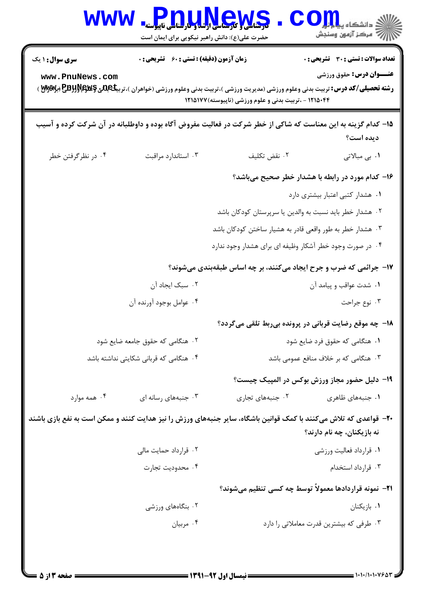| <b>WWW</b>                                                                                                       | <mark>کرهاسی و کرهاسی برسه و کارهاس</mark> ی ناپیوسته<br>حضرت علی(ع): دانش راهبر نیکویی برای ایمان است |                                                           | دانشگاه ی <b>یا ب<mark></mark>ا</b><br>سنجش آزمون وسنجش                                                                                                            |
|------------------------------------------------------------------------------------------------------------------|--------------------------------------------------------------------------------------------------------|-----------------------------------------------------------|--------------------------------------------------------------------------------------------------------------------------------------------------------------------|
| سری سوال: ۱ یک                                                                                                   | <b>زمان آزمون (دقیقه) : تستی : 60 ٪ تشریحی : 0</b>                                                     |                                                           | <b>تعداد سوالات : تستی : 30 ٪ تشریحی : 0</b>                                                                                                                       |
| www.PnuNews.com                                                                                                  |                                                                                                        | ۱۲۱۵۰۴۴ - ،تربیت بدنی و علوم ورزشی (ناپیوسته) ۱۲۱۵۱۷۷     | <b>عنــوان درس:</b> حقوق ورزشي<br><b>رشته تحصیلی/کد درس:</b> تربیت بدنی وعلوم ورزشی (مدیریت ورزشی )،تربیت بدنی وعلوم ورزشی (خواهران )،تربیکجللنی کلیکلپکلالیلالیلچ |
|                                                                                                                  |                                                                                                        |                                                           | ۱۵– کدام گزینه به این معناست که شاکی از خطر شرکت در فعالیت مفروض آگاه بوده و داوطلبانه در آن شرکت کرده و آسیب<br>ديده است؟                                         |
| ۰۴ در نظرگرفتن خطر                                                                                               | ۰۳ استاندارد مراقبت                                                                                    | ٠٢ نقض تكليف                                              | ۰۱. بی مبالاتی                                                                                                                                                     |
|                                                                                                                  |                                                                                                        |                                                           | ۱۶- کدام مورد در رابطه با هشدار خطر صحیح میباشد؟                                                                                                                   |
|                                                                                                                  |                                                                                                        |                                                           | ٠١ هشدار كتبى اعتبار بيشترى دارد                                                                                                                                   |
|                                                                                                                  |                                                                                                        | ۰۲ هشدار خطر باید نسبت به والدین یا سرپرستان کودکان باشد  |                                                                                                                                                                    |
|                                                                                                                  |                                                                                                        | ۰۳ هشدار خطر به طور واقعی قادر به هشیار ساختن کودکان باشد |                                                                                                                                                                    |
|                                                                                                                  |                                                                                                        | ۰۴ در صورت وجود خطر آشکار وظیفه ای برای هشدار وجود ندارد  |                                                                                                                                                                    |
|                                                                                                                  |                                                                                                        |                                                           | ۱۷- جرائمی که ضرب و جرح ایجاد میکنند، بر چه اساس طبقهبندی میشوند؟                                                                                                  |
|                                                                                                                  | ۰۲ سبک ایجاد آن                                                                                        |                                                           | ٠١ شدت عواقب و پيامد آن                                                                                                                                            |
|                                                                                                                  | ۰۴ عوامل بوجود آورنده آن                                                                               |                                                           | ۰۳ نوع جراحت                                                                                                                                                       |
|                                                                                                                  |                                                                                                        |                                                           | ۱۸- چه موقع رضایت قربانی در پرونده بیربط تلقی میگردد؟                                                                                                              |
|                                                                                                                  | ۰۲ هنگامی که حقوق جامعه ضایع شود                                                                       |                                                           | ۰۱ هنگامی که حقوق فرد ضایع شود                                                                                                                                     |
|                                                                                                                  | ۰۴ هنگامی که قربانی شکایتی نداشته باشد                                                                 |                                                           | ۰۳ هنگامی که بر خلاف منافع عمومی باشد                                                                                                                              |
|                                                                                                                  |                                                                                                        |                                                           | ۱۹– دلیل حضور مجاز ورزش بوکس در المپیک چیست؟                                                                                                                       |
| ۰۴ همه موارد                                                                                                     | ۰۳ جنبههای رسانه ای                                                                                    | ۰۲ جنبههای تجاری                                          | ۰۱ جنبههای ظاهری                                                                                                                                                   |
| ۲۰− قواعدی که تلاش میکنند با کمک قوانین باشگاه، سایر جنبههای ورزش را نیز هدایت کنند و ممکن است به نفع بازی باشند |                                                                                                        |                                                           | نه بازیکنان، چه نام دارند؟                                                                                                                                         |
|                                                                                                                  | ۰۲ قرارداد حمایت مالی                                                                                  |                                                           | ۰۱ قرارداد فعالیت ورزشی                                                                                                                                            |
|                                                                                                                  | ۰۴ محدوديت تجارت                                                                                       |                                                           | ۰۳ قرارداد استخدام                                                                                                                                                 |
|                                                                                                                  |                                                                                                        |                                                           | <b>۲۱</b> - نمونه قراردادها معمولاً توسط چه کسی تنظیم میشوند؟                                                                                                      |
|                                                                                                                  | ۰۲ بنگاههای ورزشی                                                                                      |                                                           | ۰۱ بازیکنان                                                                                                                                                        |
|                                                                                                                  | ۰۴ مربيان                                                                                              |                                                           | ۰۳ طرفی که بیشترین قدرت معاملاتی را دارد                                                                                                                           |
|                                                                                                                  |                                                                                                        |                                                           |                                                                                                                                                                    |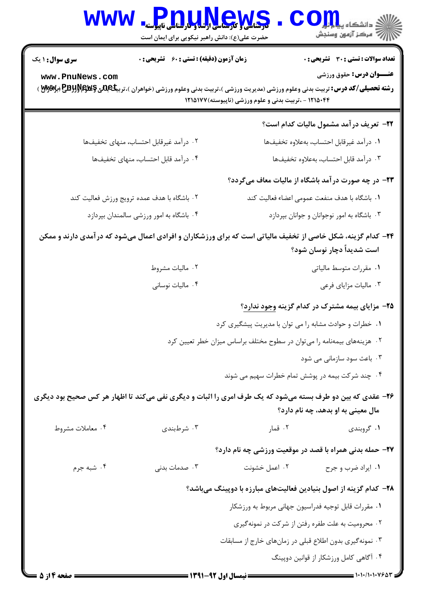| <b>WWW</b>             | <b>Pnu,u,News</b><br>حضرت علی(ع): دانش راهبر نیکویی برای ایمان است | الله دانشکاه پیاه اوران<br>الله عرکز آزمون وسنجش                                                                                                                                                                                                    |
|------------------------|--------------------------------------------------------------------|-----------------------------------------------------------------------------------------------------------------------------------------------------------------------------------------------------------------------------------------------------|
| <b>سری سوال : ۱ یک</b> | زمان آزمون (دقیقه) : تستی : 60 ٪ تشریحی : 0                        | <b>تعداد سوالات : تستی : 30 ٪ تشریحی : 0</b>                                                                                                                                                                                                        |
| www.PnuNews.com        |                                                                    | <b>عنــوان درس:</b> حقوق ورزشي<br><b>رشته تحصیلی/کد درس:</b> تربیت بدنی وعلوم ورزشی (مدیریت ورزشی )،تربیت بدنی وعلوم ورزشی (خواهران )،تربیکجل <b>لئی گِللگِلُلگلِلگلِلِ گُللگِلُلگلُلگ</b><br>۱۲۱۵۰۴۴ - ،تربیت بدنی و علوم ورزشی (ناپیوسته) ۱۲۱۵۱۷۷ |
|                        |                                                                    | <mark>۲۲</mark> - تعریف در آمد مشمول مالیات کدام است؟                                                                                                                                                                                               |
|                        | ۰۲ درآمد غیرقابل احتساب، منهای تخفیفها                             | ٠١ درآمد غيرقابل احتساب، بهعلاوه تخفيفها                                                                                                                                                                                                            |
|                        | ۰۴ درآمد قابل احتساب، منهای تخفیفها                                | ٠٣ درآمد قابل احتساب، بهعلاوه تخفيفها                                                                                                                                                                                                               |
|                        |                                                                    | <b>۲۳</b> - در چه صورت در آمد باشگاه از مالیات معاف میگردد؟                                                                                                                                                                                         |
|                        | ۰۲ باشگاه با هدف عمده ترویج ورزش فعالیت کند                        | ٠١. باشگاه با هدف منفعت عمومي اعضاء فعاليت كند                                                                                                                                                                                                      |
|                        | ۰۴ باشگاه به امور ورزشی سالمندان بپردازد                           | ۰۳ باشگاه به امور نوجوانان و جوانان بپردازد                                                                                                                                                                                                         |
|                        |                                                                    | ۲۴- کدام گزینه، شکل خاصی از تخفیف مالیاتی است که برای ورزشکاران و افرادی اعمال میشود که در آمدی دارند و ممکن<br>است شدیداً دچار نوسان شود؟                                                                                                          |
|                        | ۰۲ مالیات مشروط                                                    | ۰۱ مقررات متوسط مالیاتی                                                                                                                                                                                                                             |
|                        | ۰۴ مالیات نوسانی                                                   | ۰۳ مالیات مزایای فرعی                                                                                                                                                                                                                               |
|                        |                                                                    | <b>۲۵</b> - مزایای بیمه مشترک در کدام گزینه وجود ندارد؟                                                                                                                                                                                             |
|                        |                                                                    | ١. خطرات و حوادث مشابه را می توان با مدیریت پیشگیری کرد                                                                                                                                                                                             |
|                        |                                                                    | ۲. هزینههای بیمهنامه را می توان در سطوح مختلف براساس میزان خطر تعیین کرد                                                                                                                                                                            |
|                        |                                                                    | ۰۳ باعث سود سازمانی می شود                                                                                                                                                                                                                          |
|                        |                                                                    | ۰۴ چند شرکت بیمه در پوشش تمام خطرات سهیم می شوند                                                                                                                                                                                                    |
|                        |                                                                    | ۲۶- عقدي که بين دو طرف بسته مي شود که يک طرف امري را اثبات و ديگري نفي مي کند تا اظهار هر کس صحيح بود ديگري                                                                                                                                         |

مال معيني به او بدهد، چه نام دارد؟ ۰۴ معاملات مشروط ۰۳ شرطبندی ٢. قمار ۰۱ گروبندی

**۲۷**– حمله بدنی همراه با قصد در موقعیت ورزشی چه نام دارد؟

۴. شبه جرم ۰۳ صدمات بدنی ۰۱ ایراد ضرب و جرح مسال ۱۰۲ اعمل خشونت

# ۲۸– کدام گزینه از اصول بنیادین فعالیتهای مبارزه با دوپینگ میباشد؟

۰۱ مقررات قابل توجيه فدراسيون جهاني مربوط به ورزشكار

۰۲ محرومیت به علت طفره رفتن از شرکت در نمونهگیری

۰۳ نمونهگیری بدون اطلاع قبلی در زمانهای خارج از مسابقات

۰۴ آگاهی کامل ورزشکار از قوانین دوپینگ